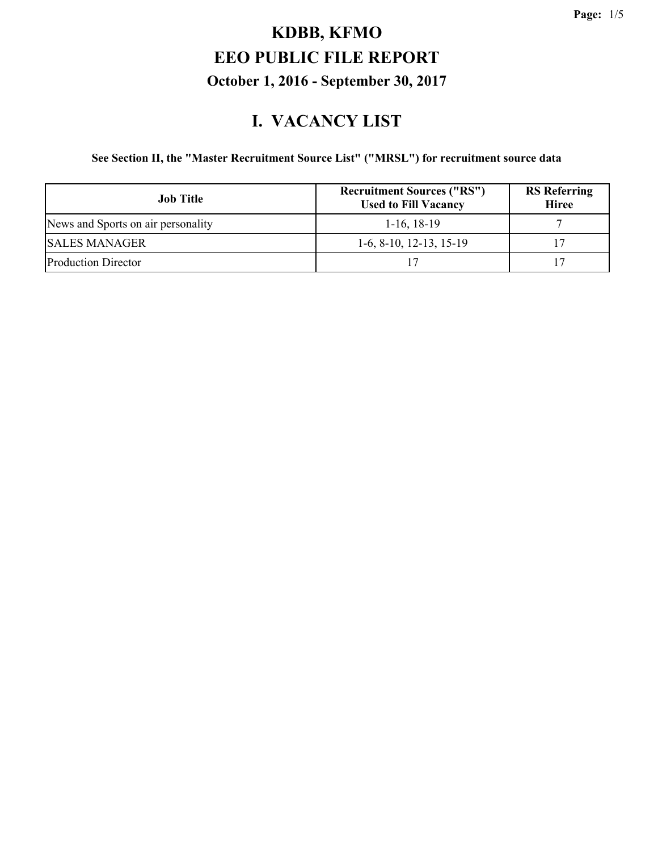#### **I. VACANCY LIST**

#### **See Section II, the "Master Recruitment Source List" ("MRSL") for recruitment source data**

| <b>Job Title</b>                   | <b>Recruitment Sources ("RS")</b><br><b>Used to Fill Vacancy</b> | <b>RS</b> Referring<br><b>Hiree</b> |
|------------------------------------|------------------------------------------------------------------|-------------------------------------|
| News and Sports on air personality | $1-16$ , 18-19                                                   |                                     |
| <b>SALES MANAGER</b>               | $1-6, 8-10, 12-13, 15-19$                                        |                                     |
| <b>Production Director</b>         |                                                                  |                                     |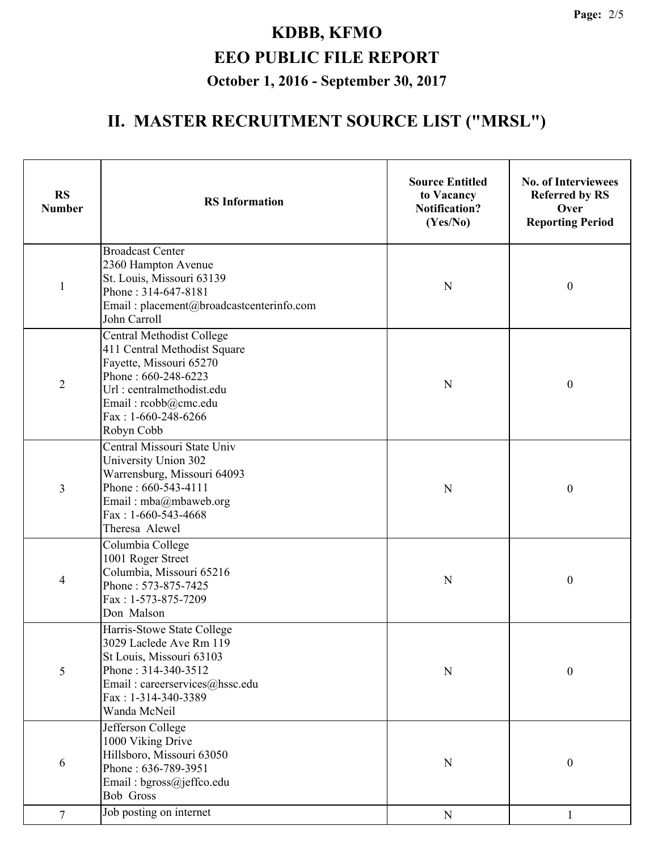## **II. MASTER RECRUITMENT SOURCE LIST ("MRSL")**

| <b>RS</b><br><b>Number</b> | <b>RS</b> Information                                                                                                                                                                                          | <b>Source Entitled</b><br>to Vacancy<br><b>Notification?</b><br>(Yes/No) | <b>No. of Interviewees</b><br><b>Referred by RS</b><br>Over<br><b>Reporting Period</b> |
|----------------------------|----------------------------------------------------------------------------------------------------------------------------------------------------------------------------------------------------------------|--------------------------------------------------------------------------|----------------------------------------------------------------------------------------|
| $\mathbf{1}$               | <b>Broadcast Center</b><br>2360 Hampton Avenue<br>St. Louis, Missouri 63139<br>Phone: 314-647-8181<br>Email: placement@broadcastcenterinfo.com<br>John Carroll                                                 | N                                                                        | $\boldsymbol{0}$                                                                       |
| $\overline{2}$             | <b>Central Methodist College</b><br>411 Central Methodist Square<br>Fayette, Missouri 65270<br>Phone: 660-248-6223<br>Url: centralmethodist.edu<br>Email: rcobb@cmc.edu<br>Fax: $1-660-248-6266$<br>Robyn Cobb | N                                                                        | $\boldsymbol{0}$                                                                       |
| 3                          | Central Missouri State Univ<br>University Union 302<br>Warrensburg, Missouri 64093<br>Phone: 660-543-4111<br>Email: mba@mbaweb.org<br>Fax: $1-660-543-4668$<br>Theresa Alewel                                  | N                                                                        | $\boldsymbol{0}$                                                                       |
| 4                          | Columbia College<br>1001 Roger Street<br>Columbia, Missouri 65216<br>Phone: 573-875-7425<br>Fax: 1-573-875-7209<br>Don Malson                                                                                  | N                                                                        | $\boldsymbol{0}$                                                                       |
| 5                          | Harris-Stowe State College<br>3029 Laclede Ave Rm 119<br>St Louis, Missouri 63103<br>Phone: 314-340-3512<br>Email: careerservices@hssc.edu<br>Fax: 1-314-340-3389<br>Wanda McNeil                              | N                                                                        | $\boldsymbol{0}$                                                                       |
| 6                          | Jefferson College<br>1000 Viking Drive<br>Hillsboro, Missouri 63050<br>Phone: 636-789-3951<br>Email: bgross@jeffco.edu<br><b>Bob Gross</b>                                                                     | $\mathbf N$                                                              | $\boldsymbol{0}$                                                                       |
| $\tau$                     | Job posting on internet                                                                                                                                                                                        | $\mathbf N$                                                              | 1                                                                                      |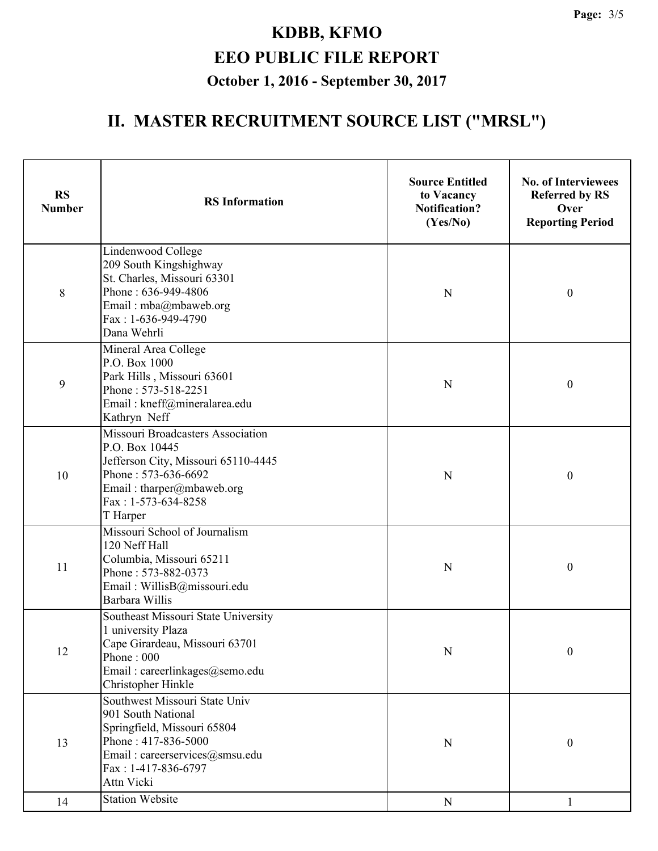## **II. MASTER RECRUITMENT SOURCE LIST ("MRSL")**

| <b>RS</b><br><b>Number</b> | <b>RS</b> Information                                                                                                                                                             | <b>Source Entitled</b><br>to Vacancy<br><b>Notification?</b><br>(Yes/No) | <b>No. of Interviewees</b><br><b>Referred by RS</b><br>Over<br><b>Reporting Period</b> |
|----------------------------|-----------------------------------------------------------------------------------------------------------------------------------------------------------------------------------|--------------------------------------------------------------------------|----------------------------------------------------------------------------------------|
| 8                          | Lindenwood College<br>209 South Kingshighway<br>St. Charles, Missouri 63301<br>Phone: 636-949-4806<br>Email: mba@mbaweb.org<br>Fax: 1-636-949-4790<br>Dana Wehrli                 | N                                                                        | $\boldsymbol{0}$                                                                       |
| 9                          | Mineral Area College<br>P.O. Box 1000<br>Park Hills, Missouri 63601<br>Phone: 573-518-2251<br>Email: kneff@mineralarea.edu<br>Kathryn Neff                                        | N                                                                        | $\boldsymbol{0}$                                                                       |
| 10                         | Missouri Broadcasters Association<br>P.O. Box 10445<br>Jefferson City, Missouri 65110-4445<br>Phone: 573-636-6692<br>Email: tharper@mbaweb.org<br>Fax: 1-573-634-8258<br>T Harper | $\mathbf N$                                                              | $\boldsymbol{0}$                                                                       |
| 11                         | Missouri School of Journalism<br>120 Neff Hall<br>Columbia, Missouri 65211<br>Phone: 573-882-0373<br>Email: WillisB@missouri.edu<br>Barbara Willis                                | N                                                                        | $\boldsymbol{0}$                                                                       |
| 12                         | Southeast Missouri State University<br>1 university Plaza<br>Cape Girardeau, Missouri 63701<br>Phone: 000<br>Email: careerlinkages@semo.edu<br>Christopher Hinkle                 | N                                                                        | $\boldsymbol{0}$                                                                       |
| 13                         | Southwest Missouri State Univ<br>901 South National<br>Springfield, Missouri 65804<br>Phone: 417-836-5000<br>Email: careerservices@smsu.edu<br>Fax: 1-417-836-6797<br>Attn Vicki  | $\mathbf N$                                                              | $\boldsymbol{0}$                                                                       |
| 14                         | <b>Station Website</b>                                                                                                                                                            | ${\bf N}$                                                                | 1                                                                                      |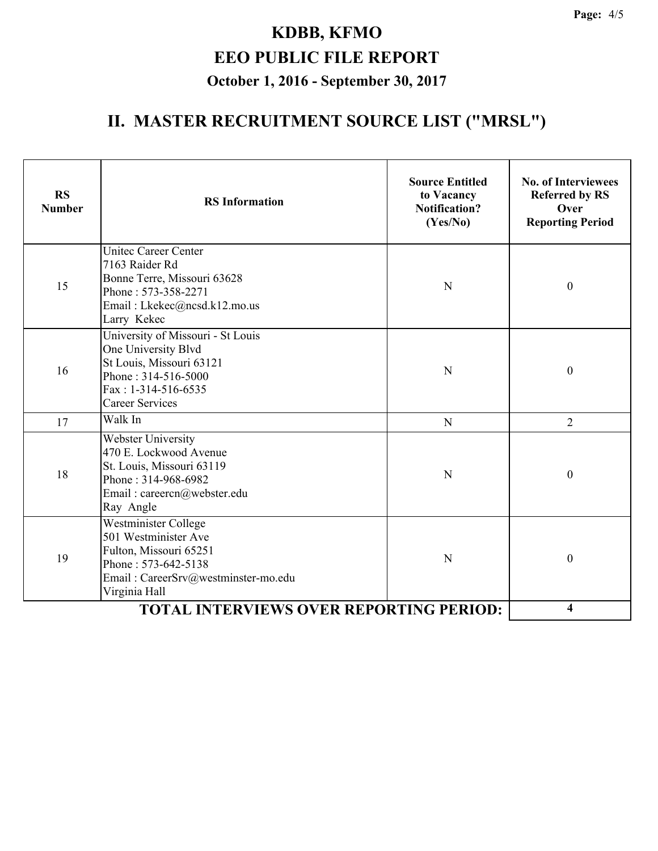## **II. MASTER RECRUITMENT SOURCE LIST ("MRSL")**

| <b>RS</b><br><b>Number</b> | <b>RS</b> Information                                                                                                                                          | <b>Source Entitled</b><br>to Vacancy<br><b>Notification?</b><br>(Yes/No) | <b>No. of Interviewees</b><br><b>Referred by RS</b><br>Over<br><b>Reporting Period</b> |
|----------------------------|----------------------------------------------------------------------------------------------------------------------------------------------------------------|--------------------------------------------------------------------------|----------------------------------------------------------------------------------------|
| 15                         | <b>Unitec Career Center</b><br>7163 Raider Rd<br>Bonne Terre, Missouri 63628<br>Phone: 573-358-2271<br>Email: Lkekec@ncsd.k12.mo.us<br>Larry Kekec             | N                                                                        | $\boldsymbol{0}$                                                                       |
| 16                         | University of Missouri - St Louis<br>One University Blvd<br>St Louis, Missouri 63121<br>Phone: 314-516-5000<br>Fax: $1-314-516-6535$<br><b>Career Services</b> | N                                                                        | $\boldsymbol{0}$                                                                       |
| 17                         | Walk In                                                                                                                                                        | N                                                                        | $\overline{2}$                                                                         |
| 18                         | Webster University<br>470 E. Lockwood Avenue<br>St. Louis, Missouri 63119<br>Phone: 314-968-6982<br>Email: careercn@webster.edu<br>Ray Angle                   | N                                                                        | $\boldsymbol{0}$                                                                       |
| 19                         | Westminister College<br>501 Westminister Ave<br>Fulton, Missouri 65251<br>Phone: 573-642-5138<br>Email: CareerSrv@westminster-mo.edu<br>Virginia Hall          | N                                                                        | $\boldsymbol{0}$                                                                       |
|                            | <b>TOTAL INTERVIEWS OVER REPORTING PERIOD:</b>                                                                                                                 |                                                                          | 4                                                                                      |